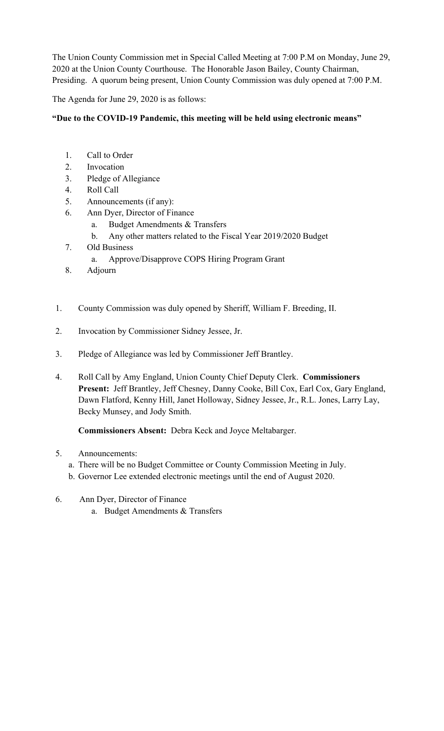The Union County Commission met in Special Called Meeting at 7:00 P.M on Monday, June 29, 2020 at the Union County Courthouse. The Honorable Jason Bailey, County Chairman, Presiding. A quorum being present, Union County Commission was duly opened at 7:00 P.M.

The Agenda for June 29, 2020 is as follows:

## **"Due to the COVID-19 Pandemic, this meeting will be held using electronic means"**

- 1. Call to Order
- 2. Invocation
- 3. Pledge of Allegiance
- 4. Roll Call
- 5. Announcements (if any):
- 6. Ann Dyer, Director of Finance
	- a. Budget Amendments & Transfers
	- b. Any other matters related to the Fiscal Year 2019/2020 Budget
- 7. Old Business
	- a. Approve/Disapprove COPS Hiring Program Grant
- 8. Adjourn
- 1. County Commission was duly opened by Sheriff, William F. Breeding, II.
- 2. Invocation by Commissioner Sidney Jessee, Jr.
- 3. Pledge of Allegiance was led by Commissioner Jeff Brantley.
- 4. Roll Call by Amy England, Union County Chief Deputy Clerk. **Commissioners Present:** Jeff Brantley, Jeff Chesney, Danny Cooke, Bill Cox, Earl Cox, Gary England, Dawn Flatford, Kenny Hill, Janet Holloway, Sidney Jessee, Jr., R.L. Jones, Larry Lay, Becky Munsey, and Jody Smith.

**Commissioners Absent:** Debra Keck and Joyce Meltabarger.

## 5. Announcements:

- a. There will be no Budget Committee or County Commission Meeting in July.
- b. Governor Lee extended electronic meetings until the end of August 2020.
- 6. Ann Dyer, Director of Finance
	- a. Budget Amendments & Transfers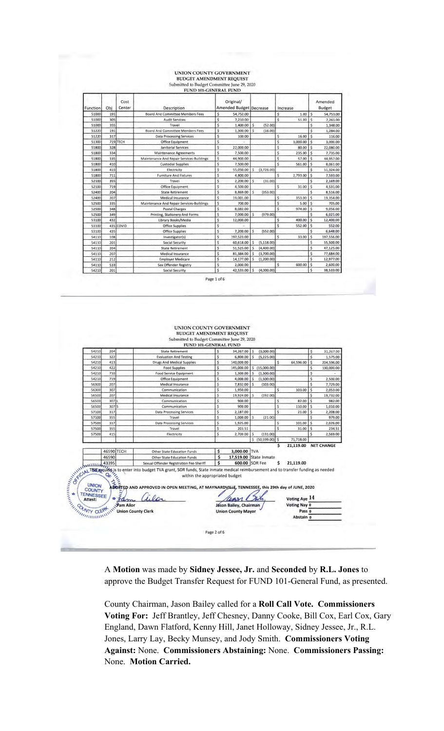# UNION COUNTY GOVERNMENT<br>BUDGET AMENDMENT REQUEST<br>Submitted to Budget Committee June 29, 2020<br>FUND 101-GENERAL FUND

| Function | Obi | Cost<br>Center | Description                               |    | Original/<br><b>Amended Budget Decrease</b> |    |             |              | Increase |                         | Amended<br><b>Budget</b> |
|----------|-----|----------------|-------------------------------------------|----|---------------------------------------------|----|-------------|--------------|----------|-------------------------|--------------------------|
| 51000    | 191 |                | Board And Committee Members Fees          | \$ | 54,752.00                                   |    |             | \$           | 1.00     | \$                      | 54,753.00                |
| 51000    | 305 |                | <b>Audit Services</b>                     | \$ | 7,210.00                                    |    |             | Ŝ            | 51.00    | $\ddot{s}$              | 7,261.00                 |
| 51000    | 355 |                | Travel                                    | \$ | 1,400.00                                    | \$ | (52.00)     |              |          | \$                      | 1,348.00                 |
| 51220    | 191 |                | <b>Board And Committee Members Fees</b>   | Ś  | 1,300.00                                    | Ś  | (16.00)     |              |          | Ś                       | 1,284.00                 |
| 51220    | 317 |                | <b>Data Processing Services</b>           | \$ | 100.00                                      |    |             | Š            | 16.00    | \$                      | 116.00                   |
| 51300    |     | 719 TECH       | <b>Office Equipment</b>                   | Ś  |                                             |    |             | Ś            | 3,000.00 | \$                      | 3,000.00                 |
| 51800    | 328 |                | <b>Janitorial Services</b>                | \$ | 22,000.00                                   |    |             | Ś            | 80.00    | $\mathsf{s}$            | 22,080.00                |
| 51800    | 334 |                | <b>Maintenance Agreements</b>             | \$ | 7,500.00                                    |    |             | \$.          | 235.00   | <sub>S</sub>            | 7,735.00                 |
| 51800    | 335 |                | Maintenance And Repair Services-Buildings | Ś  | 44,900.00                                   |    |             | Ś            | 57.00    | $\overline{\mathsf{S}}$ | 44,957.00                |
| 51800    | 410 |                | <b>Custodial Supplies</b>                 | Ś. | 7,500.00                                    |    |             | \$           | 561.00   | <sub>S</sub>            | 8,061.00                 |
| 51800    | 415 |                | Electricity                               | \$ | 55,050.00                                   | Ś  | (3,726.00)  |              |          | Ś                       | 51,324.00                |
| 51800    | 711 |                | <b>Furniture And Fixtures</b>             | Ś  | 4,800.00                                    |    |             | $\mathsf{S}$ | 2,793.00 | S                       | 7,593.00                 |
| 52100    | 355 |                | Travel                                    | Ś  | 2,200,00                                    | Ś  | (31.00)     |              |          | Ś                       | 2,169.00                 |
| 52100    | 719 |                | <b>Office Equipment</b>                   | Ś  | 4,500.00                                    |    |             | \$           | 31.00    | Ś                       | 4,531.00                 |
| 52400    | 204 |                | <b>State Retirement</b>                   | \$ | 8,869.00                                    | Ś  | (353.00)    |              |          | Ś                       | 8,516.00                 |
| 52400    | 207 |                | <b>Medical Insurance</b>                  | Ś. | 19,001.00                                   |    |             | \$           | 353.00   | Ś                       | 19,354.00                |
| 52500    | 335 |                | Maintenance And Repair Services-Buildings | \$ | 700.00                                      |    |             | \$           | 5.00     | \$                      | 705.00                   |
| 52500    | 348 |                | <b>Postal Charges</b>                     | \$ | 8,082.00                                    |    |             | \$           | 974.00   | $\frac{1}{2}$           | 9,056.00                 |
| 52500    | 349 |                | Printing, Stationery And Forms            | \$ | 7,000.00                                    | Ś  | (979.00)    |              |          | \$                      | 6,021.00                 |
| 53100    | 432 |                | Library Books/Media                       | \$ | 12,000.00                                   |    |             | \$           | 400.00   | <sup>\$</sup>           | 12,400.00                |
| 53100    |     | 435 COVID      | <b>Office Supplies</b>                    | \$ |                                             |    |             | Ś            | 552.00   | \$                      | 552.00                   |
| 53100    | 435 |                | <b>Office Supplies</b>                    | \$ | 7,200.00                                    | \$ | (552.00)    |              |          | \$                      | 6,648.00                 |
| 54110    | 108 |                | Investigator(s)                           | \$ | 197,523.00                                  |    |             | \$           | 33.00    | $\zeta$                 | 197,556.00               |
| 54110    | 201 |                | <b>Social Security</b>                    | Ś  | 60,618.00                                   | \$ | (5, 118.00) |              |          | Ś                       | 55,500.00                |
| 54110    | 204 |                | <b>State Retirement</b>                   | Ś  | 51,525.00                                   | \$ | (4,400.00)  |              |          | Ś                       | 47,125.00                |
| 54110    | 207 |                | <b>Medical Insurance</b>                  | \$ | 81,384.00                                   | Ś  | (3,700.00)  |              |          | \$                      | 77,684.00                |
| 54110    | 212 |                | <b>Employer Medicare</b>                  | \$ | 14,177.00                                   | Ś  | (1, 200.00) |              |          | \$                      | 12,977.00                |
| 54110    | 533 |                | Sex Offender Registry                     | Ś  | 2,000.00                                    |    |             | Ś            | 600.00   | \$                      | 2,600.00                 |
| 54210    | 201 |                | <b>Social Security</b>                    | Ś  | 42,533.00                                   | Ś  | (4,000.00)  |              |          | Ś                       | 38,533.00                |

Page 1 of 6

|       |            |                                                                                                                                                                                                                                    | Submitted to Budget Committee June 29, 2020<br>FUND 101-GENERAL FUND                                                                                                                                                                                                                                                                                              |                    |                                                                      |     |                   |         |                                         |                         |                   |
|-------|------------|------------------------------------------------------------------------------------------------------------------------------------------------------------------------------------------------------------------------------------|-------------------------------------------------------------------------------------------------------------------------------------------------------------------------------------------------------------------------------------------------------------------------------------------------------------------------------------------------------------------|--------------------|----------------------------------------------------------------------|-----|-------------------|---------|-----------------------------------------|-------------------------|-------------------|
| 54210 | 204        |                                                                                                                                                                                                                                    | <b>State Retirement</b>                                                                                                                                                                                                                                                                                                                                           | $\mathsf{s}$       | 34,267.00 \$                                                         |     | (3,000.00)        |         |                                         | \$                      | 31,267.00         |
| 54210 | 322        |                                                                                                                                                                                                                                    | <b>Evaluation And Testing</b>                                                                                                                                                                                                                                                                                                                                     | Ś                  | 6,800.00                                                             | Ś   | (5, 225.00)       |         |                                         | $\overline{\mathsf{S}}$ | 1,575.00          |
| 54210 | 413        |                                                                                                                                                                                                                                    | <b>Drugs And Medical Supplies</b>                                                                                                                                                                                                                                                                                                                                 | Ś                  | 140,000.00                                                           |     |                   | \$      | 64,596.00                               | \$                      | 204,596.00        |
| 54210 | 422        |                                                                                                                                                                                                                                    | <b>Food Supplies</b>                                                                                                                                                                                                                                                                                                                                              | Ś                  | 145,000.00                                                           |     | \$(15,000.00)     |         |                                         | \$                      | 130,000.00        |
| 54210 | 710        |                                                                                                                                                                                                                                    | <b>Food Service Equipment</b>                                                                                                                                                                                                                                                                                                                                     | \$                 | 1,300.00                                                             | \$. | (1,300.00)        |         |                                         | Ś                       |                   |
| 54210 | 719        |                                                                                                                                                                                                                                    | <b>Office Equipment</b>                                                                                                                                                                                                                                                                                                                                           | Ś                  | 4,000.00                                                             | Ś   | (1,500.00)        |         |                                         | \$                      | 2,500.00          |
| 56300 | 207        |                                                                                                                                                                                                                                    | Medical Insurance                                                                                                                                                                                                                                                                                                                                                 | $\dot{\mathsf{s}}$ | 7,832.00                                                             | Ś   | (103.00)          |         |                                         | Ś.                      | 7,729.00          |
| 56300 | 307        |                                                                                                                                                                                                                                    | Communication                                                                                                                                                                                                                                                                                                                                                     | \$                 | 1,950.00                                                             |     |                   | \$      | 103,00                                  | \$                      | 2,053.00          |
| 56500 | 207        |                                                                                                                                                                                                                                    | Medical Insurance                                                                                                                                                                                                                                                                                                                                                 | Ś                  | 19,924.00                                                            | \$  | (192.00)          |         |                                         | \$                      | 19,732.00         |
| 56500 | 307        |                                                                                                                                                                                                                                    | Communication                                                                                                                                                                                                                                                                                                                                                     | Ś                  | 900.00                                                               |     |                   | \$      | 82.00                                   | $\mathsf{s}$            | 982.00            |
| 56500 | 307<br>ls  |                                                                                                                                                                                                                                    | Communication                                                                                                                                                                                                                                                                                                                                                     | Ś                  | 900.00                                                               |     |                   | Ś       | 110.00                                  | \$                      | 1,010.00          |
| 57100 | 317        |                                                                                                                                                                                                                                    | <b>Data Processing Services</b>                                                                                                                                                                                                                                                                                                                                   | \$                 | 2.187.00                                                             |     |                   | \$      | 21.00                                   | \$                      | 2,208.00          |
| 57100 | 355        |                                                                                                                                                                                                                                    | Travel                                                                                                                                                                                                                                                                                                                                                            | $\mathsf{\hat{S}}$ | 1,000.00                                                             | \$  | (21.00)           |         |                                         | \$                      | 979.00            |
| 57500 | 317        |                                                                                                                                                                                                                                    | <b>Data Processing Services</b>                                                                                                                                                                                                                                                                                                                                   | \$                 | 1,925.00                                                             |     |                   | \$      | 101.00                                  | \$                      | 2.026.00          |
| 57500 | 355        |                                                                                                                                                                                                                                    | Travel                                                                                                                                                                                                                                                                                                                                                            | \$                 | 203.51                                                               |     |                   | $\zeta$ | 31.00                                   | \$                      | 234.51            |
| 57500 | 415        |                                                                                                                                                                                                                                    | Electricity                                                                                                                                                                                                                                                                                                                                                       | \$                 | 2,700.00                                                             | \$  | (131.00)          |         |                                         | \$                      | 2,569.00          |
|       |            |                                                                                                                                                                                                                                    |                                                                                                                                                                                                                                                                                                                                                                   |                    |                                                                      |     | $5(50,599.00)$ \$ |         | 71,718.00                               |                         |                   |
|       |            |                                                                                                                                                                                                                                    |                                                                                                                                                                                                                                                                                                                                                                   |                    |                                                                      |     |                   | \$      | 21,119,00                               |                         | <b>NET CHANGE</b> |
|       | 46590 TECH |                                                                                                                                                                                                                                    | <b>Other State Education Funds</b>                                                                                                                                                                                                                                                                                                                                | \$                 | 3,000.00 TVA                                                         |     |                   |         |                                         |                         |                   |
|       |            |                                                                                                                                                                                                                                    |                                                                                                                                                                                                                                                                                                                                                                   |                    |                                                                      |     |                   |         |                                         |                         |                   |
|       |            |                                                                                                                                                                                                                                    |                                                                                                                                                                                                                                                                                                                                                                   |                    |                                                                      |     |                   |         |                                         |                         |                   |
|       |            | FIRED UNION AND STRATEGIC AND MANUSCRIPT OF TENNIS<br>FIRED ATTENTION AND STRATEGIC AND MANUSCRIPT OF TENNIS<br>FIRED ATTENTION OF THE ALLOWS UNION OF THE ALLOWS UNION OF THE AMERICAN STRATEGIC AND MANUSCRIPT OF THE AMERICAN S | Sexual Offender Registration Fee-Sheriff 5 600.00 SOR Fee \$21,119.00<br>NAL TBIE appliest is to enter into budget TVA grant, SOR funds, State inmate medical reimbursement and to transfer funding as needed<br>within the appropr<br>ADOBTED AND APPROVED IN OPEN MEETING, AT MAYNARDVILLE, TENNESSEE, this 29th day of JUNE, 2020<br><b>Union County Clerk</b> |                    | $\mathcal{M}$<br>Jason Bailey, Chairman<br><b>Union County Mayor</b> |     |                   |         | Voting Aye 14<br>Voting Nay 0<br>Pass 0 |                         |                   |
|       |            |                                                                                                                                                                                                                                    |                                                                                                                                                                                                                                                                                                                                                                   |                    |                                                                      |     |                   |         | Abstain 0                               |                         |                   |

A **Motion** was made by **Sidney Jessee, Jr.** and **Seconded** by **R.L. Jones** to approve the Budget Transfer Request for FUND 101-General Fund, as presented.

County Chairman, Jason Bailey called for a **Roll Call Vote. Commissioners Voting For:** Jeff Brantley, Jeff Chesney, Danny Cooke, Bill Cox, Earl Cox, Gary England, Dawn Flatford, Kenny Hill, Janet Holloway, Sidney Jessee, Jr., R.L. Jones, Larry Lay, Becky Munsey, and Jody Smith. **Commissioners Voting Against:** None. **Commissioners Abstaining:** None. **Commissioners Passing:**  None. **Motion Carried.**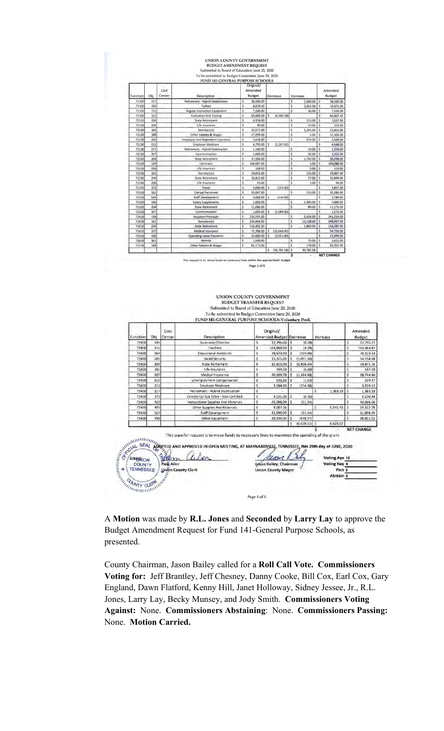# **UNION COUNTY GOVERNMENT EUDGET AMENDMENT REQUEST<br>
Submitted to Board of Education June 25, 2020**<br>
To be submitted to Budget Committee June 29, 2020<br>
TUND 141-GENERAL PURPOSE SCHOOLS

| Function | Obi | Cost<br>Center | <b>Description</b>                      |     | Original/<br>Amended<br><b>Budget</b> |    | Decrease          |                    | Increase  |                         | Amended<br><b>Budget</b> |
|----------|-----|----------------|-----------------------------------------|-----|---------------------------------------|----|-------------------|--------------------|-----------|-------------------------|--------------------------|
| 71100    | 217 |                | Retirement - Hybrid Stabilization       | Ŝ   | 36,560.00                             |    |                   | Ś                  | 1,600.00  | ١s                      | 38,160.00                |
| 71100    | 356 |                | Tuition                                 | Ś   | 8,019.42                              |    |                   | Ś                  | 2,651.58  | S                       | 10,671.00                |
| 71100    | 722 |                | <b>Regular Instruction Equipment</b>    | Ś   | 7,500.00                              |    |                   | Ś                  | 30.00     | S                       | 7,530.00                 |
| 71100    | 322 |                | <b>Evaluation And Testing</b>           | Ś   | 65,000.00                             | Š  | (4, 392.58)       |                    |           | s                       | 60,607.42                |
| 72110    | 204 |                | <b>State Retirement</b>                 | Ś   | 6,916.00                              |    |                   | \$                 | 111.00    | S                       | 7,027.00                 |
| 72120    | 206 |                | Life Insurance                          | Ś   | 90.00                                 |    |                   | s                  | 23.00     | $\ddot{s}$              | 113.00                   |
| 72130    | 161 |                | Secretary(s)                            | Ś   | 22,571.00                             |    |                   | Ś                  | 1,241.00  | \$                      | 23,812.00                |
| 72130    | 189 |                | Other Salaries & Wages                  | Ś.  | 17,099.00                             |    |                   | Ś                  | 1.00      | Ś                       | 17,100.00                |
| 72130    | 205 |                | <b>Employee And Dependent Insurance</b> | Ś   | 2,628.00                              |    |                   | Ś                  | 876.00    | Ś                       | 3,504.00                 |
| 72130    | 212 |                | <b>Employer Medicare</b>                | Š   | 6,795.00                              | Ś  | (2,247.00)        |                    |           | Ś                       | 4,548.00                 |
| 72130    | 217 |                | Retirement - Hybrid Stabilization       | Ś   | 1,140.00                              |    |                   | \$                 | 14.00     | Ś                       | 1,154.00                 |
| 72130    | 307 |                | Communication                           | \$  | 1,060.00                              |    |                   | \$                 | 92.00     | \$                      | 1,152.00                 |
| 72210    | 204 |                | <b>State Retirement</b>                 | Ś   | 37,506.00                             |    |                   | Ś                  | 1,792.00  | Ś                       | 39,298.00                |
| 72210    | 129 |                | Librarians                              | Ś   | 106,087.00                            |    |                   | \$                 | 1.00      | <sub>S</sub>            | 106,088.00               |
| 72210    | 206 |                | Life Insurance                          | Š   | 108.00                                |    |                   | \$                 | 5.00      | Ś                       | 113.00                   |
| 72230    | 161 |                | Secretary(s)                            | s   | 29,692.00                             |    |                   | \$                 | 115.00    | Š                       | 29,807.00                |
| 72230    | 204 |                | <b>State Retirement</b>                 | \$  | 10,822.00                             |    |                   | Ś.                 | 27.00     | Ś                       | 10,849.00                |
| 72230    | 206 |                | Life Insurance                          | Ś   | 43.00                                 |    |                   | \$                 | 1.00      | \$                      | 44,00                    |
| 72230    | 355 |                | Travel                                  | Ś   | 4,000.00                              | Ś  | (143.00)          |                    |           | Ś                       | 3,857.00                 |
| 72310    | 162 |                | Clerical Personnel                      | Ś   | 35,067.00                             |    |                   | Š                  | 216.00    | Ś                       | 35,283.00                |
| 72310    | 524 |                | Staff Development                       | \$. | 4,000.00                              | Ś  | (216.00)          |                    |           | Ś                       | 3,784.00                 |
| 72320    | 140 |                | <b>Salary Supplements</b>               | Ś   | 1,000.00                              |    |                   | \$                 | 1,000.00  | \$                      | 2,000.00                 |
| 72320    | 204 |                | <b>State Retirement</b>                 | \$  | 11,086.00                             |    |                   | Ś                  | 89.00     | Ś                       | 11,175.00                |
| 72320    | 307 |                | Communication                           | Ś   | 2,665.00                              | \$ | (1,089,00)        |                    |           | Ś                       | 1,576.00                 |
| 72410    | 139 |                | <b>Assistant Principals</b>             | \$  | 235,595.00                            |    |                   | Ś                  | 5,624.00  | Ś                       | 241,219.00               |
| 72410    | 161 |                | Secretary(s)                            | \$  | 334,869.00                            |    |                   | Ś                  | 13,138.00 | s                       | 348,007.00               |
| 72410    | 204 |                | <b>State Retirement</b>                 | Ś   | 116,405.00                            |    |                   | $\dot{\mathsf{s}}$ | 1,882.00  | $\overline{\mathsf{s}}$ | 118,287.00               |
| 72410    | 207 |                | <b>Medical Insurance</b>                | \$  | 75,398.00                             | Ś  | (20, 644.00)      |                    |           | \$                      | 54,754.00                |
| 72410    | 330 |                | <b>Operating Lease Payments</b>         | Ŝ   | 25,000.00                             | Ś  | (2,051.00)        |                    |           | Ŝ                       | 22,949.00                |
| 72610    | 361 |                | Permits                                 | Ś   | 1,540.00                              |    |                   | Ś                  | 75.00     | Ŝ                       | 1,615.00                 |
| 72710    | 189 |                | <b>Other Salaries &amp; Wages</b>       | Ś   | 65,173.00                             |    |                   | Ś                  | 178.00    | Ś                       | 65,351.00                |
|          |     |                |                                         |     |                                       | \$ | $(30, 782, 58)$ S |                    | 30,782.58 |                         |                          |

This request is to move funds to hin the at Page 3 of 6

#### UNION COUNTY GOVERNMENT BUDGET TRANSFER REQUEST Submitted to Board of Education June 25, 2020 To be submitted to Budget Committee June 29, 2020<br>FUND 141-GENERAL PURPOSE SCHOOLS-Voluntary PreK

NET CHANG

| Function                           | Obl | Cost<br>Center            | Description                                                                                            |    | Original/<br>Amended Budget Decrease |                         |                 | Increase |              |    | Amended<br>Budget |
|------------------------------------|-----|---------------------------|--------------------------------------------------------------------------------------------------------|----|--------------------------------------|-------------------------|-----------------|----------|--------------|----|-------------------|
| 73400                              | 105 |                           | Supervisor/Director                                                                                    | \$ | 12,796.00                            | <sub>s</sub>            | (0.28)          |          |              | s  | 12,795.72         |
| 73400                              | 116 |                           | Teachers                                                                                               | ś  | 163,969.00                           | s                       | (4.18)          |          |              | s  | 163,964.82        |
| 73400                              | 163 |                           | <b>Educational Assistants</b>                                                                          | ŝ  | 76,523.00                            | s                       | (203.86)        |          |              | \$ | 76,319.14         |
| 73400                              | 201 |                           | Social Security                                                                                        | Ŝ  | 15:326.00                            | Š                       | (1,091.16)      |          |              | ś  | 14, 234, 84       |
| 73400                              | 204 |                           | State Retirement                                                                                       | ŝ  | 22,810.00                            | 'S                      | (2.938.24)      |          |              | Š  | 19,871.76         |
| 73400                              | 206 |                           | Life Insurance                                                                                         | Ś  | 194.00                               | s                       | (6.80)          |          |              | Š  | 187.20            |
| 73400                              | 207 |                           | Medical Insurance                                                                                      | \$ | 30,109.78                            | <b>S</b>                | (1,364,88)      |          |              | s  | 28,744.90         |
| 73400                              | 210 |                           | Unemployment Compensation                                                                              | ś  | 231.00                               | $\overline{\mathbf{5}}$ | (1.63)          |          |              | \$ | 229.37            |
| 73400                              | 212 |                           | <b>Employer Medicare</b>                                                                               | Ŝ  | 3,584.00                             | s                       | (254.88)        |          |              | Ś. | 3.329.12          |
| 73400                              | 217 |                           | Retirement - Hybrid Stabilization                                                                      | 5  |                                      |                         |                 | s.       | 1,383.19     | Ś  | 1,383.19          |
| 73400                              | 370 |                           | Cntrcts For Sub Tchrs - Non-Certified                                                                  | \$ | 4,631.00                             | S.                      | (0.56)          |          |              | ŝ  | 4,630.44          |
| 73400                              | 429 |                           | Instructional Supplies And Materials                                                                   | 5  | 43,088.00                            | 'S                      | (21.94)         |          |              | 5  | 43,066.06         |
| 73400                              | 499 |                           | Other Supplies And Materials                                                                           | 5  | 9.087.36                             |                         |                 | s        | 5,245.43     | S  | 14,332.79         |
| 73400                              | 524 |                           | Staff Development                                                                                      | \$ | 12,000.00                            | s                       | (91.24)         |          |              | ś  | 11,908.76         |
| 73400                              | 790 |                           | Other Equipment                                                                                        | 5  | 29,500.00                            | s                       | (648.97)        |          |              | 5  | 28,851.03         |
|                                    |     |                           |                                                                                                        |    |                                      | S.                      | $(6,628,62)$ \$ |          | 6,628.62     |    |                   |
|                                    |     |                           | ALL SEAL AUGENED AND APPROVED IN OPEN MEETING, AT MAYNARDVILLE, TENNESSEE, this 29th day of JUNE, 2020 |    |                                      |                         |                 |          |              |    | <b>NET CHANGE</b> |
| AttesNION                          |     |                           |                                                                                                        |    |                                      |                         |                 |          |              |    |                   |
| <b>COUNTY</b>                      |     | Pam Allor                 |                                                                                                        |    | Jason Bailey, Chairman               |                         |                 |          | Voting Nay 0 |    |                   |
|                                    |     | <b>Union County Clerk</b> |                                                                                                        |    | <b>Union County Mayor</b>            |                         |                 |          | Pass 0       |    |                   |
|                                    |     |                           |                                                                                                        |    |                                      |                         |                 |          |              |    |                   |
| <b>TENNESSEE</b><br>SUMMY CLEANING |     |                           |                                                                                                        |    |                                      |                         |                 |          | Abstain 0    |    |                   |

A **Motion** was made by **R.L. Jones** and **Seconded** by **Larry Lay** to approve the Budget Amendment Request for Fund 141-General Purpose Schools, as presented.

Page 4 of 6

antibiation.

County Chairman, Jason Bailey called for a **Roll Call Vote. Commissioners Voting for:** Jeff Brantley, Jeff Chesney, Danny Cooke, Bill Cox, Earl Cox, Gary England, Dawn Flatford, Kenny Hill, Janet Holloway, Sidney Jessee, Jr., R.L. Jones, Larry Lay, Becky Munsey, and Jody Smith. **Commissioners Voting Against:** None. **Commissioners Abstaining**: None. **Commissioners Passing:**  None. **Motion Carried.**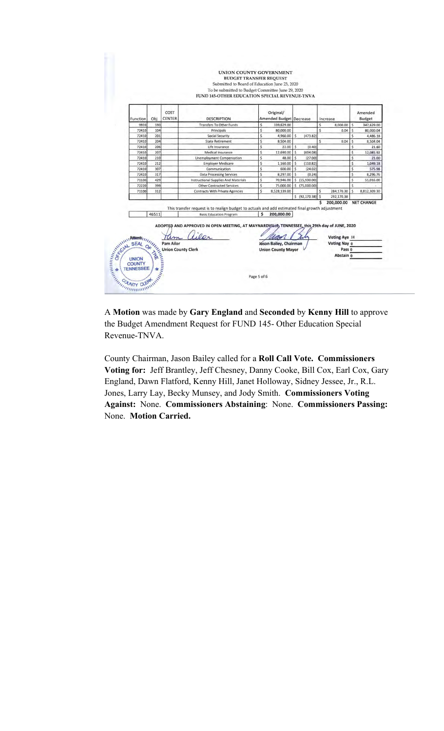

A **Motion** was made by **Gary England** and **Seconded** by **Kenny Hill** to approve the Budget Amendment Request for FUND 145- Other Education Special Revenue-TNVA.

County Chairman, Jason Bailey called for a **Roll Call Vote. Commissioners Voting for:** Jeff Brantley, Jeff Chesney, Danny Cooke, Bill Cox, Earl Cox, Gary England, Dawn Flatford, Kenny Hill, Janet Holloway, Sidney Jessee, Jr., R.L. Jones, Larry Lay, Becky Munsey, and Jody Smith. **Commissioners Voting Against:** None. **Commissioners Abstaining**: None. **Commissioners Passing:**  None. **Motion Carried.**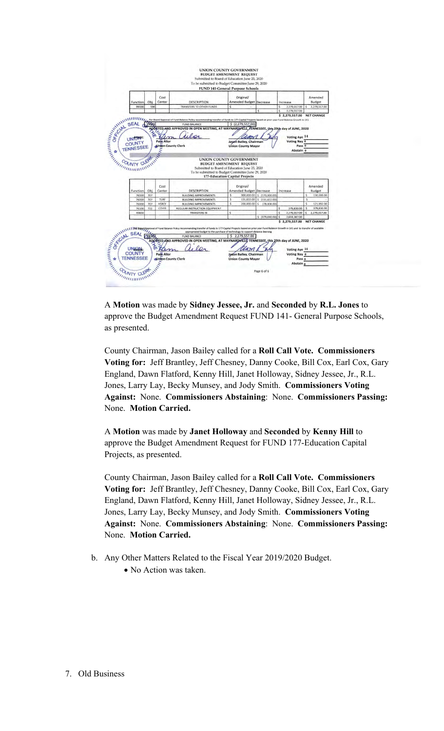

A **Motion** was made by **Sidney Jessee, Jr.** and **Seconded** by **R.L. Jones** to approve the Budget Amendment Request FUND 141- General Purpose Schools, as presented.

County Chairman, Jason Bailey called for a **Roll Call Vote. Commissioners Voting for:** Jeff Brantley, Jeff Chesney, Danny Cooke, Bill Cox, Earl Cox, Gary England, Dawn Flatford, Kenny Hill, Janet Holloway, Sidney Jessee, Jr., R.L. Jones, Larry Lay, Becky Munsey, and Jody Smith. **Commissioners Voting Against:** None. **Commissioners Abstaining**: None. **Commissioners Passing:**  None. **Motion Carried.** 

A **Motion** was made by **Janet Holloway** and **Seconded** by **Kenny Hill** to approve the Budget Amendment Request for FUND 177-Education Capital Projects, as presented.

County Chairman, Jason Bailey called for a **Roll Call Vote. Commissioners Voting for:** Jeff Brantley, Jeff Chesney, Danny Cooke, Bill Cox, Earl Cox, Gary England, Dawn Flatford, Kenny Hill, Janet Holloway, Sidney Jessee, Jr., R.L. Jones, Larry Lay, Becky Munsey, and Jody Smith. **Commissioners Voting Against:** None. **Commissioners Abstaining**: None. **Commissioners Passing:**  None. **Motion Carried.**

- b. Any Other Matters Related to the Fiscal Year 2019/2020 Budget.
	- No Action was taken.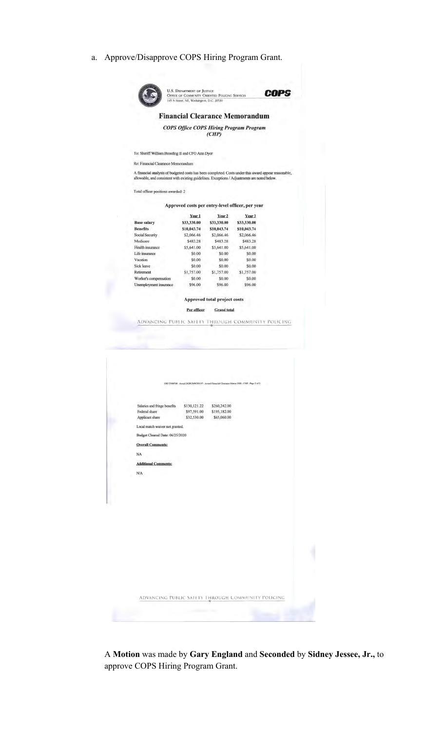a. Approve/Disapprove COPS Hiring Program Grant.



U.S. DEPARTMENT OF JUSTICE<br>OFFICE OF COMMUNITY ORIENTED POLICING SERVICES<br>145 N Street, NE, Washington, D.C. 20530 **COPS** 

### **Financial Clearance Memorandum**

**COPS Office COPS Hiring Program Program**  $(CHP)$ 

To: Sheriff William Breeding II and CFO Ann Dyer

Re: Financial Clearance Memorandum

A financial analysis of budgeted costs has been completed. Costs under this award appear reasonable, allowable, and consistent with existing guidelines. Exceptions  $/$  Adjustments are noted below.

Total officer positions awarded: 2

Approved costs per entry-level officer, per year

|             |             | Year 3            |  |
|-------------|-------------|-------------------|--|
| \$33,330.00 | \$33,330.00 | \$33,330.00       |  |
| \$10,043.74 | \$10,043.74 | \$10,043.74       |  |
| \$2,066.46  | \$2,066.46  | \$2,066.46        |  |
| \$483.28    | \$483.28    | \$483.28          |  |
| \$5,641.00  | \$5,641.00  | \$5,641.00        |  |
| \$0.00      | \$0.00      | \$0.00            |  |
| \$0.00      | \$0.00      | \$0.00            |  |
| \$0.00      | \$0.00      | \$0.00            |  |
| \$1,757.00  | \$1,757.00  | \$1,757.00        |  |
| \$0.00      | \$0.00      | \$0.00            |  |
| \$96.00     | \$96.00     | \$96.00           |  |
|             | Year 1      | Year <sub>2</sub> |  |

Approved total project costs

Per officer Grand total

ADVANCING PUBLIC SAFETY THROUGH COMMUNITY POLICING

|                                 |              | ORI TN08700 - Award 2020UMWX0197 - Award Financial Clearance Memo 2020 - CHP - Page 2 of 2. |  |
|---------------------------------|--------------|---------------------------------------------------------------------------------------------|--|
|                                 |              |                                                                                             |  |
| Salaries and fringe benefits    | \$130,121.22 | \$260,242.00                                                                                |  |
| Federal share                   | \$97,591.00  | \$195,182.00                                                                                |  |
| Applicant share                 | \$32,530.00  | \$65,060.00                                                                                 |  |
| Local match waiver not granted. |              |                                                                                             |  |
| Budget Cleared Date: 06/25/2020 |              |                                                                                             |  |
| <b>Overall Comments:</b>        |              |                                                                                             |  |
| NA                              |              |                                                                                             |  |
| <b>Additional Comments:</b>     |              |                                                                                             |  |
| N/A                             |              |                                                                                             |  |
|                                 |              |                                                                                             |  |
|                                 |              |                                                                                             |  |
|                                 |              |                                                                                             |  |
|                                 |              |                                                                                             |  |
|                                 |              |                                                                                             |  |
|                                 |              |                                                                                             |  |
|                                 |              |                                                                                             |  |
|                                 |              |                                                                                             |  |
|                                 |              |                                                                                             |  |
|                                 |              |                                                                                             |  |
|                                 |              |                                                                                             |  |
|                                 |              |                                                                                             |  |
|                                 |              |                                                                                             |  |
|                                 |              |                                                                                             |  |
|                                 |              |                                                                                             |  |
|                                 |              |                                                                                             |  |
|                                 |              |                                                                                             |  |
|                                 |              |                                                                                             |  |
|                                 |              |                                                                                             |  |
|                                 |              |                                                                                             |  |
|                                 |              |                                                                                             |  |
|                                 |              |                                                                                             |  |

A **Motion** was made by **Gary England** and **Seconded** by **Sidney Jessee, Jr.,** to approve COPS Hiring Program Grant.